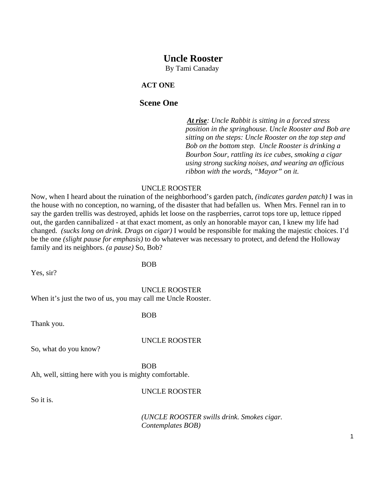# **Uncle Rooster**

By Tami Canaday

# **ACT ONE**

# **Scene One**

*At rise: Uncle Rabbit is sitting in a forced stress position in the springhouse. Uncle Rooster and Bob are sitting on the steps: Uncle Rooster on the top step and Bob on the bottom step. Uncle Rooster is drinking a Bourbon Sour, rattling its ice cubes, smoking a cigar using strong sucking noises, and wearing an officious ribbon with the words, "Mayor" on it.* 

#### UNCLE ROOSTER

Now, when I heard about the ruination of the neighborhood's garden patch, *(indicates garden patch)* I was in the house with no conception, no warning, of the disaster that had befallen us. When Mrs. Fennel ran in to say the garden trellis was destroyed, aphids let loose on the raspberries, carrot tops tore up, lettuce ripped out, the garden cannibalized - at that exact moment, as only an honorable mayor can, I knew my life had changed. *(sucks long on drink. Drags on cigar)* I would be responsible for making the majestic choices. I'd be the one *(slight pause for emphasis)* to do whatever was necessary to protect, and defend the Holloway family and its neighbors. *(a pause)* So, Bob?

Yes, sir?

#### BOB

 UNCLE ROOSTER When it's just the two of us, you may call me Uncle Rooster.

BOB

Thank you.

UNCLE ROOSTER

So, what do you know?

BOB

Ah, well, sitting here with you is mighty comfortable.

UNCLE ROOSTER

So it is.

*(UNCLE ROOSTER swills drink. Smokes cigar. Contemplates BOB)*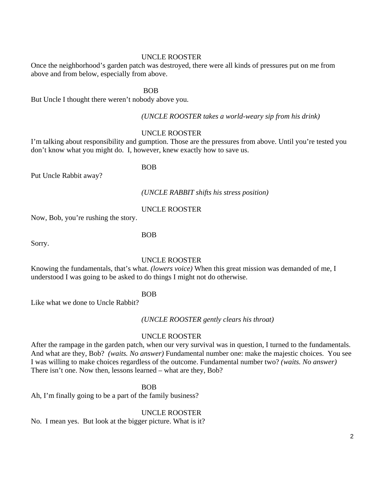### UNCLE ROOSTER

Once the neighborhood's garden patch was destroyed, there were all kinds of pressures put on me from above and from below, especially from above.

BOB

But Uncle I thought there weren't nobody above you.

*(UNCLE ROOSTER takes a world-weary sip from his drink)* 

#### UNCLE ROOSTER

I'm talking about responsibility and gumption. Those are the pressures from above. Until you're tested you don't know what you might do. I, however, knew exactly how to save us.

BOB

Put Uncle Rabbit away?

*(UNCLE RABBIT shifts his stress position)*

UNCLE ROOSTER

Now, Bob, you're rushing the story.

BOB

Sorry.

# UNCLE ROOSTER

Knowing the fundamentals, that's what. *(lowers voice)* When this great mission was demanded of me, I understood I was going to be asked to do things I might not do otherwise.

### BOB

Like what we done to Uncle Rabbit?

*(UNCLE ROOSTER gently clears his throat)*

#### UNCLE ROOSTER

After the rampage in the garden patch, when our very survival was in question, I turned to the fundamentals. And what are they, Bob? *(waits. No answer)* Fundamental number one: make the majestic choices. You see I was willing to make choices regardless of the outcome. Fundamental number two? *(waits. No answer)* There isn't one. Now then, lessons learned – what are they, Bob?

BOB

Ah, I'm finally going to be a part of the family business?

UNCLE ROOSTER

No. I mean yes. But look at the bigger picture. What is it?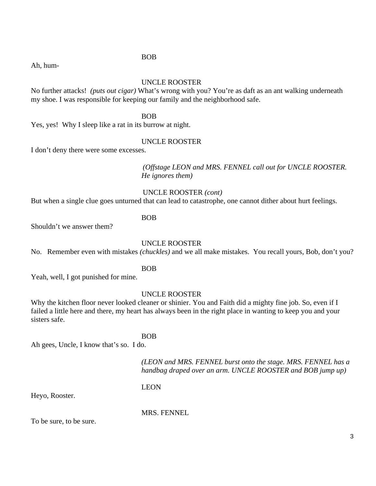BOB

Ah, hum-

# UNCLE ROOSTER

No further attacks! *(puts out cigar)* What's wrong with you? You're as daft as an ant walking underneath my shoe. I was responsible for keeping our family and the neighborhood safe.

BOB

Yes, yes! Why I sleep like a rat in its burrow at night.

# UNCLE ROOSTER

I don't deny there were some excesses.

*(Offstage LEON and MRS. FENNEL call out for UNCLE ROOSTER. He ignores them)* 

# UNCLE ROOSTER *(cont)*

But when a single clue goes unturned that can lead to catastrophe, one cannot dither about hurt feelings.

#### BOB

Shouldn't we answer them?

# UNCLE ROOSTER

No. Remember even with mistakes *(chuckles)* and we all make mistakes. You recall yours, Bob, don't you?

#### BOB

Yeah, well, I got punished for mine.

# UNCLE ROOSTER

Why the kitchen floor never looked cleaner or shinier. You and Faith did a mighty fine job. So, even if I failed a little here and there, my heart has always been in the right place in wanting to keep you and your sisters safe.

# BOB

Ah gees, Uncle, I know that's so. I do.

*(LEON and MRS. FENNEL burst onto the stage. MRS. FENNEL has a handbag draped over an arm. UNCLE ROOSTER and BOB jump up)* 

#### LEON

Heyo, Rooster.

MRS. FENNEL

To be sure, to be sure.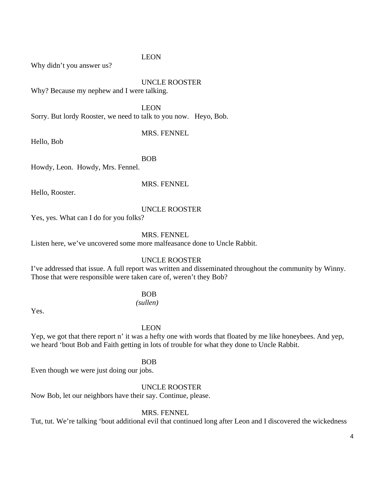#### LEON

Why didn't you answer us?

UNCLE ROOSTER

Why? Because my nephew and I were talking.

 LEON Sorry. But lordy Rooster, we need to talk to you now. Heyo, Bob.

Hello, Bob

#### MRS. FENNEL

BOB

Howdy, Leon. Howdy, Mrs. Fennel.

Hello, Rooster.

# UNCLE ROOSTER

MRS. FENNEL

Yes, yes. What can I do for you folks?

#### MRS. FENNEL

Listen here, we've uncovered some more malfeasance done to Uncle Rabbit.

# UNCLE ROOSTER

I've addressed that issue. A full report was written and disseminated throughout the community by Winny. Those that were responsible were taken care of, weren't they Bob?

#### BOB

*(sullen)* 

Yes.

#### LEON

Yep, we got that there report n' it was a hefty one with words that floated by me like honeybees. And yep, we heard 'bout Bob and Faith getting in lots of trouble for what they done to Uncle Rabbit.

BOB

Even though we were just doing our jobs.

UNCLE ROOSTER

Now Bob, let our neighbors have their say. Continue, please.

MRS. FENNEL

Tut, tut. We're talking 'bout additional evil that continued long after Leon and I discovered the wickedness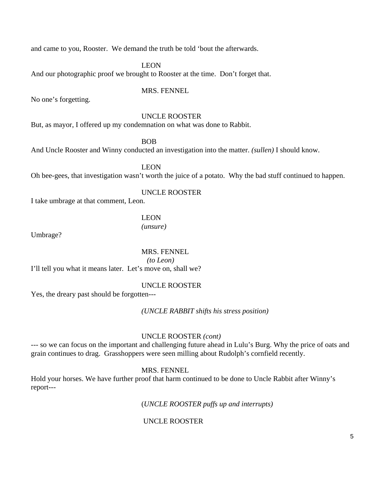and came to you, Rooster. We demand the truth be told 'bout the afterwards.

 LEON And our photographic proof we brought to Rooster at the time. Don't forget that.

MRS. FENNEL

No one's forgetting.

# UNCLE ROOSTER

But, as mayor, I offered up my condemnation on what was done to Rabbit.

BOB

And Uncle Rooster and Winny conducted an investigation into the matter. *(sullen)* I should know.

 LEON Oh bee-gees, that investigation wasn't worth the juice of a potato. Why the bad stuff continued to happen.

# UNCLE ROOSTER

I take umbrage at that comment, Leon.

 LEON *(unsure)* 

Umbrage?

 MRS. FENNEL *(to Leon)*  I'll tell you what it means later. Let's move on, shall we?

# UNCLE ROOSTER

Yes, the dreary past should be forgotten---

*(UNCLE RABBIT shifts his stress position)*

# UNCLE ROOSTER *(cont)*

--- so we can focus on the important and challenging future ahead in Lulu's Burg. Why the price of oats and grain continues to drag. Grasshoppers were seen milling about Rudolph's cornfield recently.

# MRS. FENNEL

Hold your horses. We have further proof that harm continued to be done to Uncle Rabbit after Winny's report---

(*UNCLE ROOSTER puffs up and interrupts)* 

UNCLE ROOSTER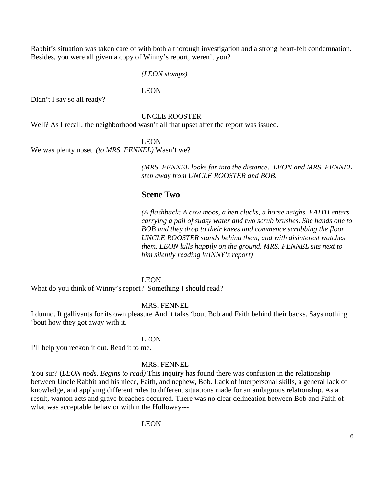Rabbit's situation was taken care of with both a thorough investigation and a strong heart-felt condemnation. Besides, you were all given a copy of Winny's report, weren't you?

*(LEON stomps)* 

LEON

Didn't I say so all ready?

#### UNCLE ROOSTER

Well? As I recall, the neighborhood wasn't all that upset after the report was issued.

LEON

We was plenty upset. *(to MRS. FENNEL)* Wasn't we?

*(MRS. FENNEL looks far into the distance. LEON and MRS. FENNEL step away from UNCLE ROOSTER and BOB.* 

# **Scene Two**

*(A flashback: A cow moos, a hen clucks, a horse neighs. FAITH enters carrying a pail of sudsy water and two scrub brushes. She hands one to BOB and they drop to their knees and commence scrubbing the floor. UNCLE ROOSTER stands behind them, and with disinterest watches them. LEON lulls happily on the ground. MRS. FENNEL sits next to him silently reading WINNY's report)* 

#### LEON

What do you think of Winny's report? Something I should read?

#### MRS. FENNEL

I dunno. It gallivants for its own pleasure And it talks 'bout Bob and Faith behind their backs. Says nothing 'bout how they got away with it.

#### **LEON**

I'll help you reckon it out. Read it to me.

#### MRS. FENNEL

You sur? (*LEON nods. Begins to read*) This inquiry has found there was confusion in the relationship between Uncle Rabbit and his niece, Faith, and nephew, Bob. Lack of interpersonal skills, a general lack of knowledge, and applying different rules to different situations made for an ambiguous relationship. As a result, wanton acts and grave breaches occurred. There was no clear delineation between Bob and Faith of what was acceptable behavior within the Holloway---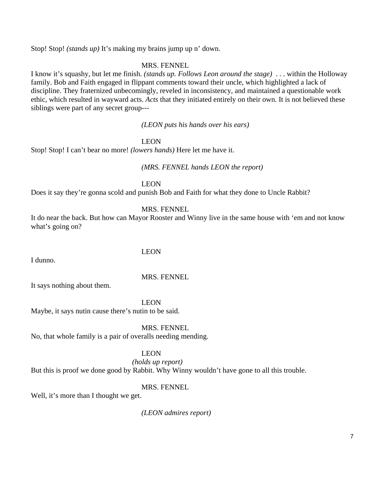Stop! Stop! *(stands up)* It's making my brains jump up n' down.

# MRS. FENNEL

I know it's squashy, but let me finish. *(stands up. Follows Leon around the stage)* . . . within the Holloway family. Bob and Faith engaged in flippant comments toward their uncle, which highlighted a lack of discipline. They fraternized unbecomingly, reveled in inconsistency, and maintained a questionable work ethic, which resulted in wayward acts. *Acts* that they initiated entirely on their own. It is not believed these siblings were part of any secret group---

*(LEON puts his hands over his ears)* 

LEON

Stop! Stop! I can't bear no more! *(lowers hands)* Here let me have it.

*(MRS. FENNEL hands LEON the report)* 

LEON

Does it say they're gonna scold and punish Bob and Faith for what they done to Uncle Rabbit?

MRS. FENNEL

It do near the back. But how can Mayor Rooster and Winny live in the same house with 'em and not know what's going on?

I dunno.

LEON

It says nothing about them.

LEON

Maybe, it says nutin cause there's nutin to be said.

MRS. FENNEL

MRS. FENNEL

No, that whole family is a pair of overalls needing mending.

# LEON

*(holds up report)* 

But this is proof we done good by Rabbit. Why Winny wouldn't have gone to all this trouble.

MRS. FENNEL

Well, it's more than I thought we get.

*(LEON admires report)*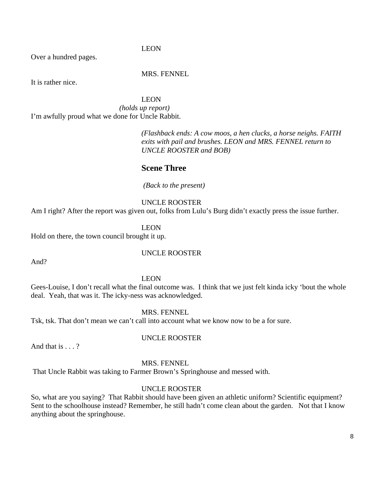LEON

Over a hundred pages.

# MRS. FENNEL

It is rather nice.

 LEON *(holds up report)*  I'm awfully proud what we done for Uncle Rabbit.

> *(Flashback ends: A cow moos, a hen clucks, a horse neighs. FAITH exits with pail and brushes. LEON and MRS. FENNEL return to UNCLE ROOSTER and BOB)*

# **Scene Three**

 *(Back to the present)* 

UNCLE ROOSTER

Am I right? After the report was given out, folks from Lulu's Burg didn't exactly press the issue further.

LEON

Hold on there, the town council brought it up.

UNCLE ROOSTER

And?

#### LEON

Gees-Louise, I don't recall what the final outcome was. I think that we just felt kinda icky 'bout the whole deal. Yeah, that was it. The icky-ness was acknowledged.

#### MRS. FENNEL

Tsk, tsk. That don't mean we can't call into account what we know now to be a for sure.

And that is . . . ?

UNCLE ROOSTER

MRS. FENNEL

That Uncle Rabbit was taking to Farmer Brown's Springhouse and messed with.

# UNCLE ROOSTER

So, what are you saying? That Rabbit should have been given an athletic uniform? Scientific equipment? Sent to the schoolhouse instead? Remember, he still hadn't come clean about the garden. Not that I know anything about the springhouse.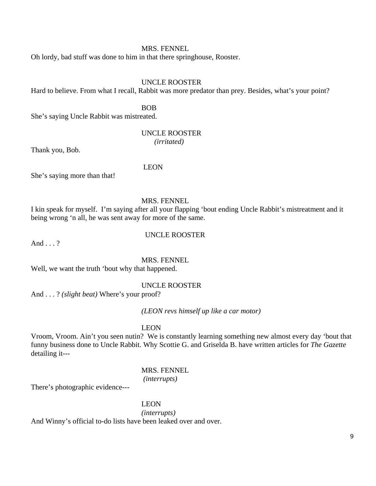#### MRS. FENNEL

Oh lordy, bad stuff was done to him in that there springhouse, Rooster.

# UNCLE ROOSTER

Hard to believe. From what I recall, Rabbit was more predator than prey. Besides, what's your point?

BOB

She's saying Uncle Rabbit was mistreated.

#### UNCLE ROOSTER *(irritated)*

Thank you, Bob.

LEON

She's saying more than that!

#### MRS. FENNEL

I kin speak for myself. I'm saying after all your flapping 'bout ending Uncle Rabbit's mistreatment and it being wrong 'n all, he was sent away for more of the same.

#### UNCLE ROOSTER

And . . . ?

#### MRS. FENNEL

Well, we want the truth 'bout why that happened.

#### UNCLE ROOSTER

And . . . ? *(slight beat)* Where's your proof?

*(LEON revs himself up like a car motor)* 

#### LEON

Vroom, Vroom. Ain't you seen nutin? We is constantly learning something new almost every day 'bout that funny business done to Uncle Rabbit. Why Scottie G. and Griselda B. have written articles for *The Gazette* detailing it---

#### MRS. FENNEL *(interrupts)*

There's photographic evidence---

#### LEON

*(interrupts)* 

And Winny's official to-do lists have been leaked over and over.